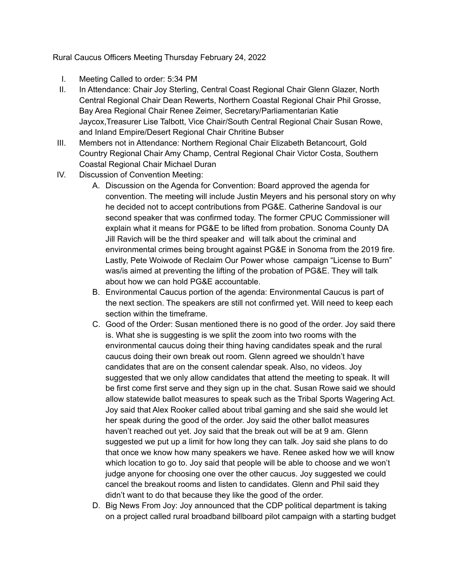Rural Caucus Officers Meeting Thursday February 24, 2022

- I. Meeting Called to order: 5:34 PM
- II. In Attendance: Chair Joy Sterling, Central Coast Regional Chair Glenn Glazer, North Central Regional Chair Dean Rewerts, Northern Coastal Regional Chair Phil Grosse, Bay Area Regional Chair Renee Zeimer, Secretary/Parliamentarian Katie Jaycox,Treasurer Lise Talbott, Vice Chair/South Central Regional Chair Susan Rowe, and Inland Empire/Desert Regional Chair Chritine Bubser
- III. Members not in Attendance: Northern Regional Chair Elizabeth Betancourt, Gold Country Regional Chair Amy Champ, Central Regional Chair Victor Costa, Southern Coastal Regional Chair Michael Duran
- IV. Discussion of Convention Meeting:
	- A. Discussion on the Agenda for Convention: Board approved the agenda for convention. The meeting will include Justin Meyers and his personal story on why he decided not to accept contributions from PG&E. Catherine Sandoval is our second speaker that was confirmed today. The former CPUC Commissioner will explain what it means for PG&E to be lifted from probation. Sonoma County DA Jill Ravich will be the third speaker and will talk about the criminal and environmental crimes being brought against PG&E in Sonoma from the 2019 fire. Lastly, Pete Woiwode of Reclaim Our Power whose campaign "License to Burn" was/is aimed at preventing the lifting of the probation of PG&E. They will talk about how we can hold PG&E accountable.
	- B. Environmental Caucus portion of the agenda: Environmental Caucus is part of the next section. The speakers are still not confirmed yet. Will need to keep each section within the timeframe.
	- C. Good of the Order: Susan mentioned there is no good of the order. Joy said there is. What she is suggesting is we split the zoom into two rooms with the environmental caucus doing their thing having candidates speak and the rural caucus doing their own break out room. Glenn agreed we shouldn't have candidates that are on the consent calendar speak. Also, no videos. Joy suggested that we only allow candidates that attend the meeting to speak. It will be first come first serve and they sign up in the chat. Susan Rowe said we should allow statewide ballot measures to speak such as the Tribal Sports Wagering Act. Joy said that Alex Rooker called about tribal gaming and she said she would let her speak during the good of the order. Joy said the other ballot measures haven't reached out yet. Joy said that the break out will be at 9 am. Glenn suggested we put up a limit for how long they can talk. Joy said she plans to do that once we know how many speakers we have. Renee asked how we will know which location to go to. Joy said that people will be able to choose and we won't judge anyone for choosing one over the other caucus. Joy suggested we could cancel the breakout rooms and listen to candidates. Glenn and Phil said they didn't want to do that because they like the good of the order.
	- D. Big News From Joy: Joy announced that the CDP political department is taking on a project called rural broadband billboard pilot campaign with a starting budget